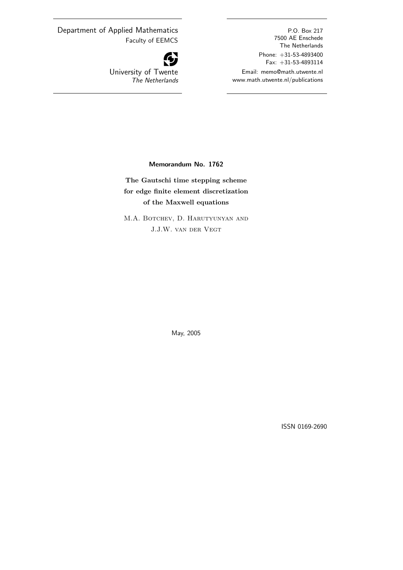Department of Applied Mathematics Faculty of EEMCS atics<br>MCS<br>**47** 

G University of Twente The Netherlands

P.O. Box 217 7500 AE Enschede The Netherlands Phone: +31-53-4893400 Fax: +31-53-4893114 Email: memo@math.utwente.nl www.math.utwente.nl/publications

Memorandum No. 1762

The Gautschi time stepping scheme for edge finite element discretization of the Maxwell equations

M.A. Botchev, D. Harutyunyan and J.J.W. van der Vegt

May, 2005

ISSN 0169-2690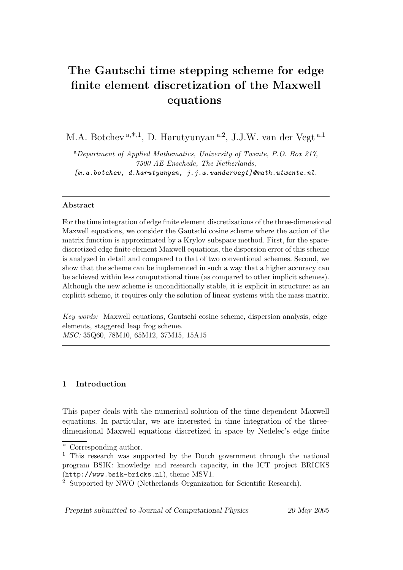# **The Gautschi time stepping scheme for edge finite element discretization of the Maxwell equations**

M.A. Botchev<sup>a,\*,1</sup>, D. Harutyunyan<sup>a,2</sup>, J.J.W. van der Vegt<sup>a,1</sup>

<sup>a</sup>*Department of Applied Mathematics, University of Twente, P.O. Box 217, 7500 AE Enschede, The Netherlands, [m.a.botchev, d.harutyunyan, j.j.w.vandervegt]@math.utwente.nl.*

# **Abstract**

For the time integration of edge finite element discretizations of the three-dimensional Maxwell equations, we consider the Gautschi cosine scheme where the action of the matrix function is approximated by a Krylov subspace method. First, for the spacediscretized edge finite element Maxwell equations, the dispersion error of this scheme is analyzed in detail and compared to that of two conventional schemes. Second, we show that the scheme can be implemented in such a way that a higher accuracy can be achieved within less computational time (as compared to other implicit schemes). Although the new scheme is unconditionally stable, it is explicit in structure: as an explicit scheme, it requires only the solution of linear systems with the mass matrix.

*Key words:* Maxwell equations, Gautschi cosine scheme, dispersion analysis, edge elements, staggered leap frog scheme. *MSC:* 35Q60, 78M10, 65M12, 37M15, 15A15

# **1 Introduction**

This paper deals with the numerical solution of the time dependent Maxwell equations. In particular, we are interested in time integration of the threedimensional Maxwell equations discretized in space by Nedelec's edge finite

*Preprint submitted to Journal of Computational Physics 20 May 2005*

<sup>∗</sup> Corresponding author.

<sup>&</sup>lt;sup>1</sup> This research was supported by the Dutch government through the national program BSIK: knowledge and research capacity, in the ICT project BRICKS (http://www.bsik-bricks.nl), theme MSV1.

<sup>2</sup> Supported by NWO (Netherlands Organization for Scientific Research).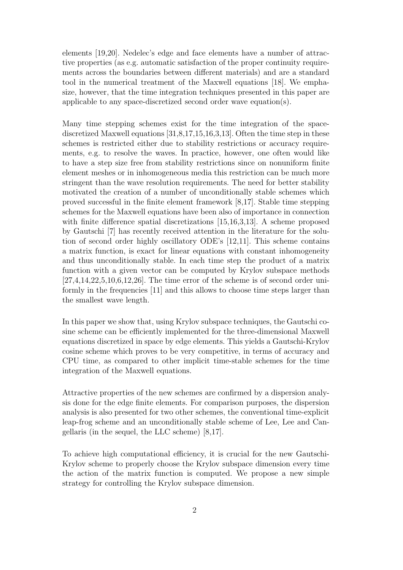elements [19,20]. Nedelec's edge and face elements have a number of attractive properties (as e.g. automatic satisfaction of the proper continuity requirements across the boundaries between different materials) and are a standard tool in the numerical treatment of the Maxwell equations [18]. We emphasize, however, that the time integration techniques presented in this paper are applicable to any space-discretized second order wave equation(s).

Many time stepping schemes exist for the time integration of the spacediscretized Maxwell equations [31,8,17,15,16,3,13]. Often the time step in these schemes is restricted either due to stability restrictions or accuracy requirements, e.g. to resolve the waves. In practice, however, one often would like to have a step size free from stability restrictions since on nonuniform finite element meshes or in inhomogeneous media this restriction can be much more stringent than the wave resolution requirements. The need for better stability motivated the creation of a number of unconditionally stable schemes which proved successful in the finite element framework [8,17]. Stable time stepping schemes for the Maxwell equations have been also of importance in connection with finite difference spatial discretizations [15,16,3,13]. A scheme proposed by Gautschi [7] has recently received attention in the literature for the solution of second order highly oscillatory ODE's [12,11]. This scheme contains a matrix function, is exact for linear equations with constant inhomogeneity and thus unconditionally stable. In each time step the product of a matrix function with a given vector can be computed by Krylov subspace methods [27,4,14,22,5,10,6,12,26]. The time error of the scheme is of second order uniformly in the frequencies [11] and this allows to choose time steps larger than the smallest wave length.

In this paper we show that, using Krylov subspace techniques, the Gautschi cosine scheme can be efficiently implemented for the three-dimensional Maxwell equations discretized in space by edge elements. This yields a Gautschi-Krylov cosine scheme which proves to be very competitive, in terms of accuracy and CPU time, as compared to other implicit time-stable schemes for the time integration of the Maxwell equations.

Attractive properties of the new schemes are confirmed by a dispersion analysis done for the edge finite elements. For comparison purposes, the dispersion analysis is also presented for two other schemes, the conventional time-explicit leap-frog scheme and an unconditionally stable scheme of Lee, Lee and Cangellaris (in the sequel, the LLC scheme) [8,17].

To achieve high computational efficiency, it is crucial for the new Gautschi-Krylov scheme to properly choose the Krylov subspace dimension every time the action of the matrix function is computed. We propose a new simple strategy for controlling the Krylov subspace dimension.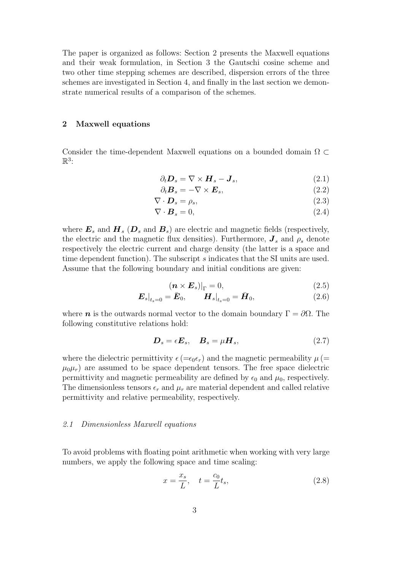The paper is organized as follows: Section 2 presents the Maxwell equations and their weak formulation, in Section 3 the Gautschi cosine scheme and two other time stepping schemes are described, dispersion errors of the three schemes are investigated in Section 4, and finally in the last section we demonstrate numerical results of a comparison of the schemes.

## **2 Maxwell equations**

Consider the time-dependent Maxwell equations on a bounded domain  $\Omega \subset$  $\mathbb{R}^3$ :

$$
\partial_t \mathbf{D}_s = \nabla \times \mathbf{H}_s - \mathbf{J}_s,\tag{2.1}
$$

$$
\partial_t \mathbf{B}_s = -\nabla \times \mathbf{E}_s,\tag{2.2}
$$

$$
\nabla \cdot \boldsymbol{D}_s = \rho_s,\tag{2.3}
$$

$$
\nabla \cdot \boldsymbol{B}_s = 0,\tag{2.4}
$$

where  $\mathbf{E}_s$  and  $\mathbf{H}_s$  ( $\mathbf{D}_s$  and  $\mathbf{B}_s$ ) are electric and magnetic fields (respectively, the electric and the magnetic flux densities). Furthermore,  $J_s$  and  $\rho_s$  denote respectively the electric current and charge density (the latter is a space and time dependent function). The subscript s indicates that the SI units are used. Assume that the following boundary and initial conditions are given:

$$
(\boldsymbol{n} \times \boldsymbol{E}_s)|_{\Gamma} = 0, \tag{2.5}
$$

$$
\left. \boldsymbol{E}_{s} \right|_{t_{s}=0} = \bar{\boldsymbol{E}}_{0}, \qquad \left. \boldsymbol{H}_{s} \right|_{t_{s}=0} = \bar{\boldsymbol{H}}_{0}, \tag{2.6}
$$

where *n* is the outwards normal vector to the domain boundary  $\Gamma = \partial \Omega$ . The following constitutive relations hold:

$$
\boldsymbol{D}_s = \epsilon \boldsymbol{E}_s, \quad \boldsymbol{B}_s = \mu \boldsymbol{H}_s,\tag{2.7}
$$

where the dielectric permittivity  $\epsilon (= \epsilon_0 \epsilon_r)$  and the magnetic permeability  $\mu$  (=  $\mu_0\mu_r$ ) are assumed to be space dependent tensors. The free space dielectric permittivity and magnetic permeability are defined by  $\epsilon_0$  and  $\mu_0$ , respectively. The dimensionless tensors  $\epsilon_r$  and  $\mu_r$  are material dependent and called relative permittivity and relative permeability, respectively.

#### 2.1 Dimensionless Maxwell equations

To avoid problems with floating point arithmetic when working with very large numbers, we apply the following space and time scaling:

$$
x = \frac{x_s}{L}, \quad t = \frac{c_0}{L}t_s,\tag{2.8}
$$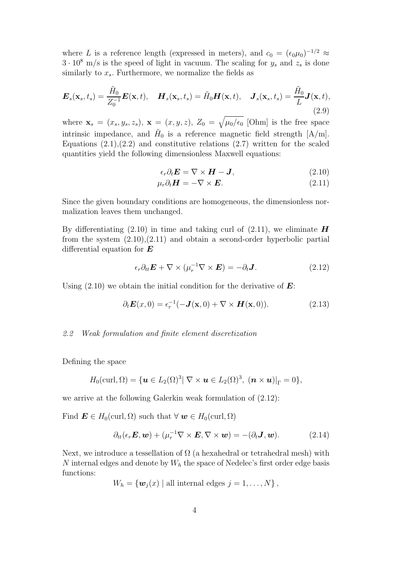where L is a reference length (expressed in meters), and  $c_0 = (\epsilon_0 \mu_0)^{-1/2} \approx$  $3 \cdot 10^8$  m/s is the speed of light in vacuum. The scaling for  $y_s$  and  $z_s$  is done similarly to  $x_s$ . Furthermore, we normalize the fields as

$$
\boldsymbol{E}_s(\mathbf{x}_s, t_s) = \frac{\tilde{H}_0}{Z_0^{-1}} \boldsymbol{E}(\mathbf{x}, t), \quad \boldsymbol{H}_s(\mathbf{x}_s, t_s) = \tilde{H}_0 \boldsymbol{H}(\mathbf{x}, t), \quad \boldsymbol{J}_s(\mathbf{x}_s, t_s) = \frac{\tilde{H}_0}{L} \boldsymbol{J}(\mathbf{x}, t), \tag{2.9}
$$

where  $\mathbf{x}_s = (x_s, y_s, z_s)$ ,  $\mathbf{x} = (x, y, z)$ ,  $Z_0 = \sqrt{\mu_0/\epsilon_0}$  [Ohm] is the free space intrinsic impedance, and  $H_0$  is a reference magnetic field strength [A/m]. Equations  $(2.1),(2.2)$  and constitutive relations  $(2.7)$  written for the scaled quantities yield the following dimensionless Maxwell equations:

$$
\epsilon_r \partial_t \mathbf{E} = \nabla \times \mathbf{H} - \mathbf{J},\tag{2.10}
$$

$$
\mu_r \partial_t \mathbf{H} = -\nabla \times \mathbf{E}.\tag{2.11}
$$

Since the given boundary conditions are homogeneous, the dimensionless normalization leaves them unchanged.

By differentiating  $(2.10)$  in time and taking curl of  $(2.11)$ , we eliminate **H** from the system  $(2.10)$ , $(2.11)$  and obtain a second-order hyperbolic partial differential equation for *E*

$$
\epsilon_r \partial_{tt} \mathbf{E} + \nabla \times (\mu_r^{-1} \nabla \times \mathbf{E}) = -\partial_t \mathbf{J}.
$$
 (2.12)

Using (2.10) we obtain the initial condition for the derivative of *E*:

$$
\partial_t \mathbf{E}(x,0) = \epsilon_r^{-1}(-\mathbf{J}(\mathbf{x},0) + \nabla \times \mathbf{H}(\mathbf{x},0)). \tag{2.13}
$$

## 2.2 Weak formulation and finite element discretization

Defining the space

$$
H_0(\mathrm{curl},\Omega)=\{\boldsymbol{u}\in L_2(\Omega)^3|\; \nabla\times\boldsymbol{u}\in L_2(\Omega)^3,\; (\boldsymbol{n}\times\boldsymbol{u})|_{\Gamma}=0\},
$$

we arrive at the following Galerkin weak formulation of (2.12):

Find  $\mathbf{E} \in H_0(\text{curl}, \Omega)$  such that  $\forall \mathbf{w} \in H_0(\text{curl}, \Omega)$ 

$$
\partial_{tt}(\epsilon_r \mathbf{E}, \mathbf{w}) + (\mu_r^{-1} \nabla \times \mathbf{E}, \nabla \times \mathbf{w}) = -(\partial_t \mathbf{J}, \mathbf{w}). \tag{2.14}
$$

Next, we introduce a tessellation of  $\Omega$  (a hexahedral or tetrahedral mesh) with N internal edges and denote by  $W<sub>h</sub>$  the space of Nedelec's first order edge basis functions:

$$
W_h = \{ \boldsymbol{w}_j(x) \mid \text{all internal edges } j = 1, \ldots, N \},
$$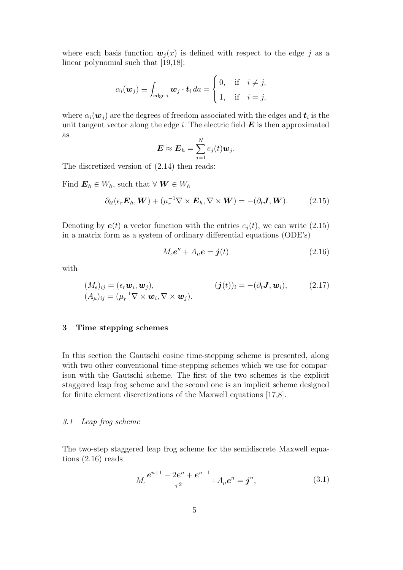where each basis function  $w_i(x)$  is defined with respect to the edge j as a linear polynomial such that [19,18]:

$$
\alpha_i(\boldsymbol{w}_j) \equiv \int_{\text{edge } i} \boldsymbol{w}_j \cdot \boldsymbol{t}_i \, da = \begin{cases} 0, & \text{if } i \neq j, \\ 1, & \text{if } i = j, \end{cases}
$$

where  $\alpha_i(\boldsymbol{w}_i)$  are the degrees of freedom associated with the edges and  $\boldsymbol{t}_i$  is the unit tangent vector along the edge i. The electric field  $\boldsymbol{E}$  is then approximated as

$$
\boldsymbol{E} \approx \boldsymbol{E}_h = \sum_{j=1}^N e_j(t) \boldsymbol{w}_j.
$$

The discretized version of (2.14) then reads:

Find  $\mathbf{E}_h \in W_h$ , such that  $\forall \mathbf{W} \in W_h$ 

$$
\partial_{tt}(\epsilon_r \boldsymbol{E}_h, \boldsymbol{W}) + (\mu_r^{-1} \nabla \times \boldsymbol{E}_h, \nabla \times \boldsymbol{W}) = -(\partial_t \boldsymbol{J}, \boldsymbol{W}). \tag{2.15}
$$

Denoting by  $e(t)$  a vector function with the entries  $e_i(t)$ , we can write (2.15) in a matrix form as a system of ordinary differential equations (ODE's)

$$
M_{\epsilon}e'' + A_{\mu}e = \mathbf{j}(t) \tag{2.16}
$$

with

$$
(M_{\epsilon})_{ij} = (\epsilon_r \mathbf{w}_i, \mathbf{w}_j), (A_{\mu})_{ij} = (\mu_r^{-1} \nabla \times \mathbf{w}_i, \nabla \times \mathbf{w}_j).
$$
 (2.17)

## **3 Time stepping schemes**

In this section the Gautschi cosine time-stepping scheme is presented, along with two other conventional time-stepping schemes which we use for comparison with the Gautschi scheme. The first of the two schemes is the explicit staggered leap frog scheme and the second one is an implicit scheme designed for finite element discretizations of the Maxwell equations [17,8].

#### 3.1 Leap frog scheme

The two-step staggered leap frog scheme for the semidiscrete Maxwell equations (2.16) reads

$$
M_{\epsilon} \frac{e^{n+1} - 2e^n + e^{n-1}}{\tau^2} + A_{\mu} e^n = \boldsymbol{j}^n, \tag{3.1}
$$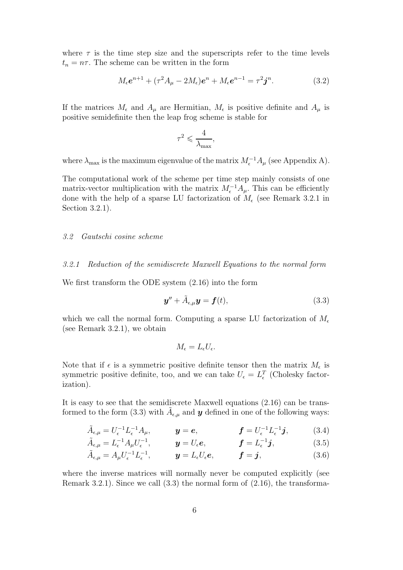where  $\tau$  is the time step size and the superscripts refer to the time levels  $t_n = n\tau$ . The scheme can be written in the form

$$
M_{\epsilon}e^{n+1} + (\tau^2 A_{\mu} - 2M_{\epsilon})e^n + M_{\epsilon}e^{n-1} = \tau^2 j^n.
$$
 (3.2)

If the matrices  $M_{\epsilon}$  and  $A_{\mu}$  are Hermitian,  $M_{\epsilon}$  is positive definite and  $A_{\mu}$  is positive semidefinite then the leap frog scheme is stable for

$$
\tau^2 \leqslant \frac{4}{\lambda_{\max}},
$$

where  $\lambda_{\max}$  is the maximum eigenvalue of the matrix  $M_{\epsilon}^{-1}A_{\mu}$  (see Appendix A).

The computational work of the scheme per time step mainly consists of one matrix-vector multiplication with the matrix  $M_{\epsilon}^{-1}A_{\mu}$ . This can be efficiently done with the help of a sparse LU factorization of  $M_{\epsilon}$  (see Remark 3.2.1 in Section 3.2.1).

### 3.2 Gautschi cosine scheme

# 3.2.1 Reduction of the semidiscrete Maxwell Equations to the normal form

We first transform the ODE system (2.16) into the form

$$
\mathbf{y}'' + \tilde{A}_{\epsilon,\mu}\mathbf{y} = \mathbf{f}(t),\tag{3.3}
$$

which we call the normal form. Computing a sparse LU factorization of  $M_{\epsilon}$ (see Remark 3.2.1), we obtain

$$
M_{\epsilon}=L_{\epsilon}U_{\epsilon}.
$$

Note that if  $\epsilon$  is a symmetric positive definite tensor then the matrix  $M_{\epsilon}$  is symmetric positive definite, too, and we can take  $U_{\epsilon} = L_{\epsilon}^{T}$  (Cholesky factorization).

It is easy to see that the semidiscrete Maxwell equations (2.16) can be transformed to the form (3.3) with  $\tilde{A}_{\epsilon,\mu}$  and *y* defined in one of the following ways:

$$
\tilde{A}_{\epsilon,\mu} = U_{\epsilon}^{-1} L_{\epsilon}^{-1} A_{\mu}, \qquad \mathbf{y} = \mathbf{e}, \qquad \mathbf{f} = U_{\epsilon}^{-1} L_{\epsilon}^{-1} \mathbf{j}, \qquad (3.4)
$$

$$
\tilde{A}_{\epsilon,\mu} = L_{\epsilon}^{-1} A_{\mu} U_{\epsilon}^{-1}, \qquad \mathbf{y} = U_{\epsilon} \mathbf{e}, \qquad \mathbf{f} = L_{\epsilon}^{-1} \mathbf{j}, \tag{3.5}
$$

$$
\tilde{A}_{\epsilon,\mu} = A_{\mu} U_{\epsilon}^{-1} L_{\epsilon}^{-1}, \qquad \mathbf{y} = L_{\epsilon} U_{\epsilon} \mathbf{e}, \qquad \mathbf{f} = \mathbf{j}, \tag{3.6}
$$

where the inverse matrices will normally never be computed explicitly (see Remark 3.2.1). Since we call (3.3) the normal form of (2.16), the transforma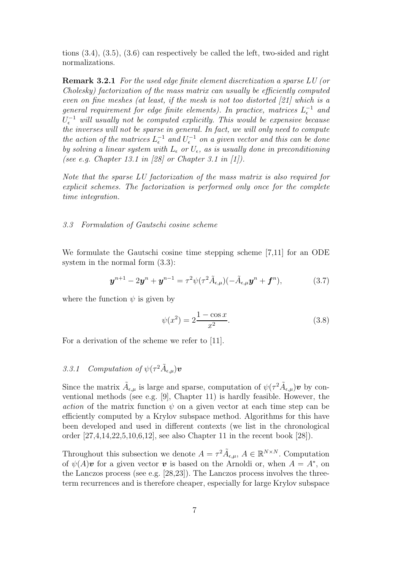tions (3.4), (3.5), (3.6) can respectively be called the left, two-sided and right normalizations.

**Remark 3.2.1** For the used edge finite element discretization a sparse LU (or Cholesky) factorization of the mass matrix can usually be efficiently computed even on fine meshes (at least, if the mesh is not too distorted [21] which is a general requirement for edge finite elements). In practice, matrices  $L_{\epsilon}^{-1}$  and  $U_{\epsilon}^{-1}$  will usually not be computed explicitly. This would be expensive because the inverses will not be sparse in general. In fact, we will only need to compute the action of the matrices  $L_{\epsilon}^{-1}$  and  $U_{\epsilon}^{-1}$  on a given vector and this can be done by solving a linear system with  $L_{\epsilon}$  or  $U_{\epsilon}$ , as is usually done in preconditioning (see e.g. Chapter 13.1 in [28] or Chapter 3.1 in [1]).

Note that the sparse LU factorization of the mass matrix is also required for explicit schemes. The factorization is performed only once for the complete time integration.

#### 3.3 Formulation of Gautschi cosine scheme

We formulate the Gautschi cosine time stepping scheme [7,11] for an ODE system in the normal form (3.3):

$$
\mathbf{y}^{n+1} - 2\mathbf{y}^n + \mathbf{y}^{n-1} = \tau^2 \psi(\tau^2 \tilde{A}_{\epsilon,\mu}) (-\tilde{A}_{\epsilon,\mu} \mathbf{y}^n + \mathbf{f}^n), \tag{3.7}
$$

where the function  $\psi$  is given by

$$
\psi(x^2) = 2 \frac{1 - \cos x}{x^2}.
$$
\n(3.8)

For a derivation of the scheme we refer to [11].

# 3.3.1 Computation of  $\psi(\tau^2 \tilde{A}_{\epsilon,\mu})$ **v**

Since the matrix  $\tilde{A}_{\epsilon,\mu}$  is large and sparse, computation of  $\psi(\tau^2 \tilde{A}_{\epsilon,\mu}) \nu$  by conventional methods (see e.g. [9], Chapter 11) is hardly feasible. However, the action of the matrix function  $\psi$  on a given vector at each time step can be efficiently computed by a Krylov subspace method. Algorithms for this have been developed and used in different contexts (we list in the chronological order [27,4,14,22,5,10,6,12], see also Chapter 11 in the recent book [28]).

Throughout this subsection we denote  $A = \tau^2 \tilde{A}_{\epsilon,\mu}$ ,  $A \in \mathbb{R}^{N \times N}$ . Computation of  $\psi(A)\mathbf{v}$  for a given vector  $\mathbf{v}$  is based on the Arnoldi or, when  $A = A^*$ , on the Lanczos process (see e.g. [28,23]). The Lanczos process involves the threeterm recurrences and is therefore cheaper, especially for large Krylov subspace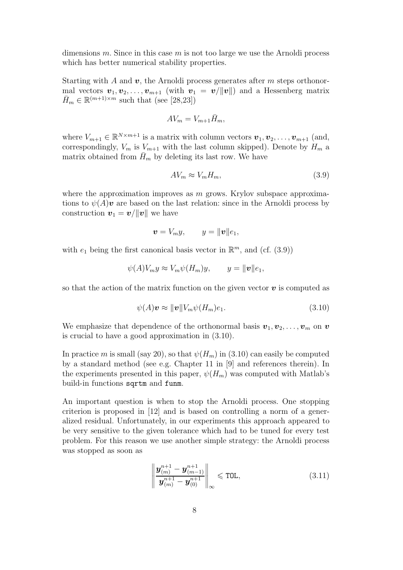dimensions m. Since in this case m is not too large we use the Arnoldi process which has better numerical stability properties.

Starting with A and *v*, the Arnoldi process generates after m steps orthonormal vectors  $\mathbf{v}_1, \mathbf{v}_2, \ldots, \mathbf{v}_{m+1}$  (with  $\mathbf{v}_1 = \mathbf{v}/\|\mathbf{v}\|$ ) and a Hessenberg matrix  $\bar{H}_m \in \mathbb{R}^{(m+1)\times m}$  such that (see [28,23])

$$
AV_m = V_{m+1} \bar{H}_m,
$$

where  $V_{m+1} \in \mathbb{R}^{N \times m+1}$  is a matrix with column vectors  $\boldsymbol{v}_1, \boldsymbol{v}_2, \ldots, \boldsymbol{v}_{m+1}$  (and, correspondingly,  $V_m$  is  $V_{m+1}$  with the last column skipped). Denote by  $H_m$  a matrix obtained from  $\bar{H}_m$  by deleting its last row. We have

$$
AV_m \approx V_m H_m,\tag{3.9}
$$

where the approximation improves as  $m$  grows. Krylov subspace approximations to  $\psi(A)\mathbf{v}$  are based on the last relation: since in the Arnoldi process by construction  $v_1 = v/||v||$  we have

$$
\boldsymbol{v} = V_m y, \qquad y = \|\boldsymbol{v}\| \boldsymbol{e}_1,
$$

with  $e_1$  being the first canonical basis vector in  $\mathbb{R}^m$ , and (cf. (3.9))

$$
\psi(A)V_m y \approx V_m \psi(H_m) y, \qquad y = ||\boldsymbol{v}|| e_1,
$$

so that the action of the matrix function on the given vector  $\boldsymbol{v}$  is computed as

$$
\psi(A)\mathbf{v} \approx ||\mathbf{v}||V_m\psi(H_m)e_1.
$$
\n(3.10)

We emphasize that dependence of the orthonormal basis  $v_1, v_2, \ldots, v_m$  on  $v$ is crucial to have a good approximation in (3.10).

In practice m is small (say 20), so that  $\psi(H_m)$  in (3.10) can easily be computed by a standard method (see e.g. Chapter 11 in [9] and references therein). In the experiments presented in this paper,  $\psi(H_m)$  was computed with Matlab's build-in functions sqrtm and funm.

An important question is when to stop the Arnoldi process. One stopping criterion is proposed in [12] and is based on controlling a norm of a generalized residual. Unfortunately, in our experiments this approach appeared to be very sensitive to the given tolerance which had to be tuned for every test problem. For this reason we use another simple strategy: the Arnoldi process was stopped as soon as

$$
\left\| \frac{\boldsymbol{y}_{(m)}^{n+1} - \boldsymbol{y}_{(m-1)}^{n+1}}{\boldsymbol{y}_{(m)}^{n+1} - \boldsymbol{y}_{(0)}^{n+1}} \right\|_{\infty} \leq \text{TOL},
$$
\n(3.11)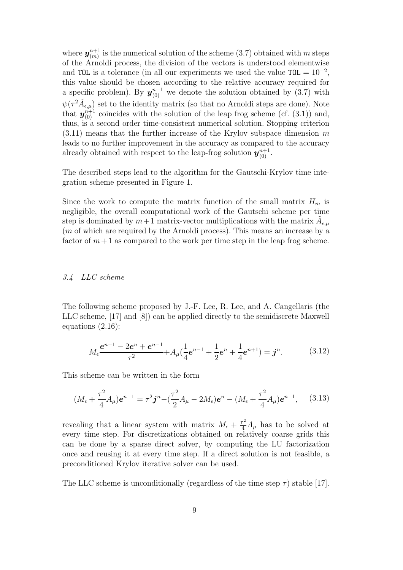where  $y_{(m)}^{n+1}$  is the numerical solution of the scheme (3.7) obtained with m steps of the Arnoldi process, the division of the vectors is understood elementwise and TOL is a tolerance (in all our experiments we used the value  $TOL = 10^{-2}$ , this value should be chosen according to the relative accuracy required for a specific problem). By  $y_{(0)}^{n+1}$  we denote the solution obtained by (3.7) with  $\psi(\tau^2 \tilde{A}_{\epsilon,\mu})$  set to the identity matrix (so that no Arnoldi steps are done). Note that  $y_{(0)}^{n+1}$  coincides with the solution of the leap frog scheme (cf. (3.1)) and, thus, is a second order time-consistent numerical solution. Stopping criterion  $(3.11)$  means that the further increase of the Krylov subspace dimension m leads to no further improvement in the accuracy as compared to the accuracy already obtained with respect to the leap-frog solution  $y_{(0)}^{n+1}$ .

The described steps lead to the algorithm for the Gautschi-Krylov time integration scheme presented in Figure 1.

Since the work to compute the matrix function of the small matrix  $H_m$  is negligible, the overall computational work of the Gautschi scheme per time step is dominated by  $m+1$  matrix-vector multiplications with the matrix  $A_{\epsilon,\mu}$ (m of which are required by the Arnoldi process). This means an increase by a factor of  $m+1$  as compared to the work per time step in the leap frog scheme.

## 3.4 LLC scheme

The following scheme proposed by J.-F. Lee, R. Lee, and A. Cangellaris (the LLC scheme, [17] and [8]) can be applied directly to the semidiscrete Maxwell equations (2.16):

$$
M_{\epsilon} \frac{e^{n+1} - 2e^n + e^{n-1}}{\tau^2} + A_{\mu} (\frac{1}{4} e^{n-1} + \frac{1}{2} e^n + \frac{1}{4} e^{n+1}) = \mathbf{j}^n. \tag{3.12}
$$

This scheme can be written in the form

$$
(M_{\epsilon} + \frac{\tau^2}{4}A_{\mu})e^{n+1} = \tau^2 \mathbf{j}^n - (\frac{\tau^2}{2}A_{\mu} - 2M_{\epsilon})e^n - (M_{\epsilon} + \frac{\tau^2}{4}A_{\mu})e^{n-1}, \quad (3.13)
$$

revealing that a linear system with matrix  $M_{\epsilon} + \frac{\tau^2}{4} A_{\mu}$  has to be solved at every time step. For discretizations obtained on relatively coarse grids this can be done by a sparse direct solver, by computing the LU factorization once and reusing it at every time step. If a direct solution is not feasible, a preconditioned Krylov iterative solver can be used.

The LLC scheme is unconditionally (regardless of the time step  $\tau$ ) stable [17].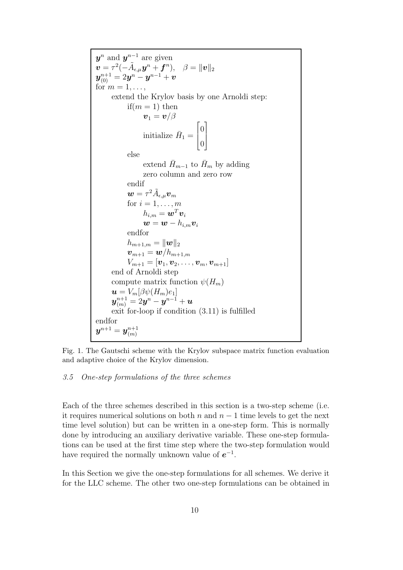*y*<sup>n</sup> and *y*<sup>n−1</sup> are given  $\boldsymbol{v} = \tau^2(-\tilde{A}_{\epsilon,\mu}\boldsymbol{y}^n + \boldsymbol{f}^n), \ \ \ \beta = \|\boldsymbol{v}\|_2$  $\boldsymbol{y}_{(0)}^{n+1} = 2\boldsymbol{y}^n - \boldsymbol{y}^{n-1} + \boldsymbol{v}$ for  $m = 1, \ldots,$ extend the Krylov basis by one Arnoldi step: if( $m = 1$ ) then  $\bm{v}_1 = \bm{v}/\beta$ initialize  $\bar{H}_1 =$  $\sqrt{ }$  $\overline{\phantom{a}}$ 0 0 1  $\overline{\phantom{a}}$ else extend  $\bar{H}_{m-1}$  to  $\bar{H}_m$  by adding zero column and zero row endif  $\boldsymbol{w} = \tau^2 \tilde{A}_{\epsilon,\mu} \boldsymbol{v}_m$ for  $i = 1, \ldots, m$  $h_{i,m} = \boldsymbol{w}^T \boldsymbol{v}_i$  $\boldsymbol{w} = \boldsymbol{w} - h_{i,m} \boldsymbol{v}_i$ endfor  $h_{m+1,m} = ||\bm{w}||_2$  $\bm{v}_{m+1} = \bm{w}/h_{m+1,m}$  $V_{m+1} = [\bm{v}_1, \bm{v}_2, \ldots, \bm{v}_m, \bm{v}_{m+1}]$ end of Arnoldi step compute matrix function  $\psi(H_m)$  $\boldsymbol{u}=V_m[\beta \psi(H_m)e_1]$  $\boldsymbol{y}^{n+1}_{(m)} = 2\boldsymbol{y}^{n} - \boldsymbol{y}^{n-1} + \boldsymbol{u}$ exit for-loop if condition (3.11) is fulfilled endfor  $\boldsymbol{y}^{n+1} = \boldsymbol{y}^{n+1}_{(m)}$ 

Fig. 1. The Gautschi scheme with the Krylov subspace matrix function evaluation and adaptive choice of the Krylov dimension.

## 3.5 One-step formulations of the three schemes

Each of the three schemes described in this section is a two-step scheme (i.e. it requires numerical solutions on both n and  $n-1$  time levels to get the next time level solution) but can be written in a one-step form. This is normally done by introducing an auxiliary derivative variable. These one-step formulations can be used at the first time step where the two-step formulation would have required the normally unknown value of *e*<sup>−</sup><sup>1</sup>.

In this Section we give the one-step formulations for all schemes. We derive it for the LLC scheme. The other two one-step formulations can be obtained in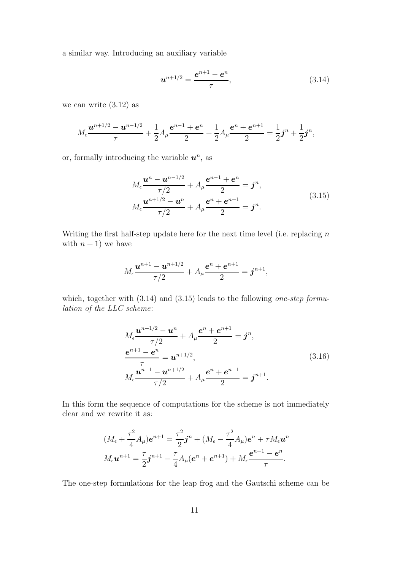a similar way. Introducing an auxiliary variable

$$
u^{n+1/2} = \frac{e^{n+1} - e^n}{\tau},
$$
\n(3.14)

we can write  $(3.12)$  as

$$
M_{\epsilon} \frac{\mathbf{u}^{n+1/2} - \mathbf{u}^{n-1/2}}{\tau} + \frac{1}{2} A_{\mu} \frac{\mathbf{e}^{n-1} + \mathbf{e}^n}{2} + \frac{1}{2} A_{\mu} \frac{\mathbf{e}^n + \mathbf{e}^{n+1}}{2} = \frac{1}{2} \mathbf{j}^n + \frac{1}{2} \mathbf{j}^n,
$$

or, formally introducing the variable  $u^n$ , as

$$
M_{\epsilon} \frac{\boldsymbol{u}^{n} - \boldsymbol{u}^{n-1/2}}{\tau/2} + A_{\mu} \frac{\boldsymbol{e}^{n-1} + \boldsymbol{e}^{n}}{2} = \boldsymbol{j}^{n},
$$
  

$$
M_{\epsilon} \frac{\boldsymbol{u}^{n+1/2} - \boldsymbol{u}^{n}}{\tau/2} + A_{\mu} \frac{\boldsymbol{e}^{n} + \boldsymbol{e}^{n+1}}{2} = \boldsymbol{j}^{n}.
$$
 (3.15)

Writing the first half-step update here for the next time level (i.e. replacing  $n$ ) with  $n + 1$ ) we have

$$
M_{\epsilon} \frac{\boldsymbol{u}^{n+1} - \boldsymbol{u}^{n+1/2}}{\tau/2} + A_{\mu} \frac{\boldsymbol{e}^{n} + \boldsymbol{e}^{n+1}}{2} = \boldsymbol{j}^{n+1},
$$

which, together with  $(3.14)$  and  $(3.15)$  leads to the following one-step formulation of the LLC scheme:

$$
M_{\epsilon} \frac{\boldsymbol{u}^{n+1/2} - \boldsymbol{u}^{n}}{\tau/2} + A_{\mu} \frac{\boldsymbol{e}^{n} + \boldsymbol{e}^{n+1}}{2} = \boldsymbol{j}^{n},
$$
  
\n
$$
\frac{\boldsymbol{e}^{n+1} - \boldsymbol{e}^{n}}{\tau} = \boldsymbol{u}^{n+1/2},
$$
  
\n
$$
M_{\epsilon} \frac{\boldsymbol{u}^{n+1} - \boldsymbol{u}^{n+1/2}}{\tau/2} + A_{\mu} \frac{\boldsymbol{e}^{n} + \boldsymbol{e}^{n+1}}{2} = \boldsymbol{j}^{n+1}.
$$
\n(3.16)

In this form the sequence of computations for the scheme is not immediately clear and we rewrite it as:

$$
(M_{\epsilon} + \frac{\tau^2}{4}A_{\mu})e^{n+1} = \frac{\tau^2}{2}\mathbf{j}^n + (M_{\epsilon} - \frac{\tau^2}{4}A_{\mu})e^n + \tau M_{\epsilon}\mathbf{u}^n
$$

$$
M_{\epsilon}\mathbf{u}^{n+1} = \frac{\tau}{2}\mathbf{j}^{n+1} - \frac{\tau}{4}A_{\mu}(e^n + e^{n+1}) + M_{\epsilon}\frac{e^{n+1} - e^n}{\tau}.
$$

The one-step formulations for the leap frog and the Gautschi scheme can be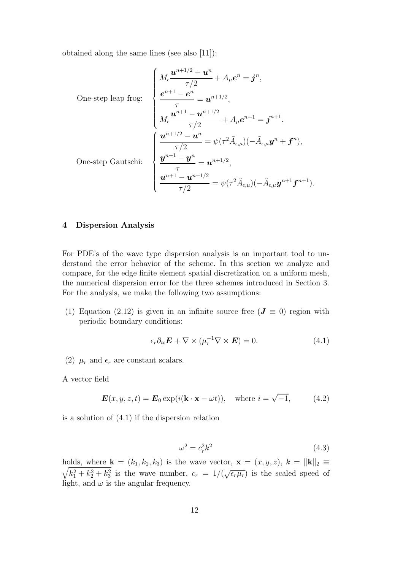obtained along the same lines (see also [11]):

One-step leap frog: 
$$
\begin{cases}\nM_{\epsilon} \frac{\boldsymbol{u}^{n+1/2} - \boldsymbol{u}^{n}}{\tau/2} + A_{\mu} \boldsymbol{e}^{n} = \boldsymbol{j}^{n}, \\
\frac{\boldsymbol{e}^{n+1} - \boldsymbol{e}^{n}}{\tau} = \boldsymbol{u}^{n+1/2}, \\
M_{\epsilon} \frac{\boldsymbol{u}^{n+1} - \boldsymbol{u}^{n+1/2}}{\tau/2} + A_{\mu} \boldsymbol{e}^{n+1} = \boldsymbol{j}^{n+1}.\n\end{cases}
$$
\nOne-step Gautschi: 
$$
\begin{cases}\n\frac{\boldsymbol{u}^{n+1/2} - \boldsymbol{u}^{n}}{\tau/2} = \psi(\tau^{2} \tilde{A}_{\epsilon,\mu}) (-\tilde{A}_{\epsilon,\mu} \boldsymbol{y}^{n} + \boldsymbol{f}^{n}), \\
\frac{\boldsymbol{y}^{n+1} - \boldsymbol{y}^{n}}{\tau} = \boldsymbol{u}^{n+1/2}, \\
\frac{\boldsymbol{u}^{n+1} - \boldsymbol{u}^{n+1/2}}{\tau/2} = \psi(\tau^{2} \tilde{A}_{\epsilon,\mu}) (-\tilde{A}_{\epsilon,\mu} \boldsymbol{y}^{n+1} \boldsymbol{f}^{n+1}).\n\end{cases}
$$

# **4 Dispersion Analysis**

For PDE's of the wave type dispersion analysis is an important tool to understand the error behavior of the scheme. In this section we analyze and compare, for the edge finite element spatial discretization on a uniform mesh, the numerical dispersion error for the three schemes introduced in Section 3. For the analysis, we make the following two assumptions:

(1) Equation (2.12) is given in an infinite source free ( $J \equiv 0$ ) region with periodic boundary conditions:

$$
\epsilon_r \partial_{tt} \mathbf{E} + \nabla \times (\mu_r^{-1} \nabla \times \mathbf{E}) = 0. \tag{4.1}
$$

(2)  $\mu_r$  and  $\epsilon_r$  are constant scalars.

A vector field

$$
\mathbf{E}(x, y, z, t) = \mathbf{E}_0 \exp(i(\mathbf{k} \cdot \mathbf{x} - \omega t)), \text{ where } i = \sqrt{-1}, \quad (4.2)
$$

is a solution of (4.1) if the dispersion relation

$$
\omega^2 = c_r^2 k^2 \tag{4.3}
$$

holds, where  $\frac{1}{2}$  $\mathbf{k} = (k_1, k_2, k_3)$  is the wave vector,  $\mathbf{x} = (x, y, z), k = ||\mathbf{k}||_2 \equiv$  $k_1^2 + k_2^2 + k_3^2$  is the wave number,  $c_r = 1/(\sqrt{\epsilon_r \mu_r})$  is the scaled speed of light, and  $\omega$  is the angular frequency.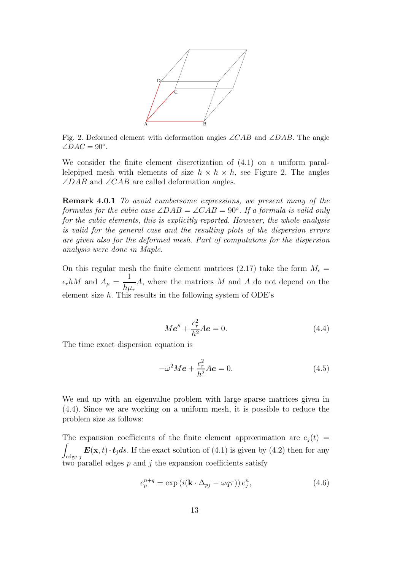

Fig. 2. Deformed element with deformation angles  $\angle CAB$  and  $\angle DAB$ . The angle  $\angle DAC = 90^\circ$ .

We consider the finite element discretization of (4.1) on a uniform parallelepiped mesh with elements of size  $h \times h \times h$ , see Figure 2. The angles  $\angle DAB$  and  $\angle CAB$  are called deformation angles.

**Remark 4.0.1** To avoid cumbersome expressions, we present many of the formulas for the cubic case  $\angle DAB = \angle CAB = 90^\circ$ . If a formula is valid only for the cubic elements, this is explicitly reported. However, the whole analysis is valid for the general case and the resulting plots of the dispersion errors are given also for the deformed mesh. Part of computatons for the dispersion analysis were done in Maple.

On this regular mesh the finite element matrices (2.17) take the form  $M_{\epsilon}$  =  $\epsilon_r h M$  and  $A_\mu = \frac{1}{l_{\text{max}}}$  $h\mu_r$ A, where the matrices M and A do not depend on the element size  $h$ . This results in the following system of ODE's

$$
M\mathbf{e}'' + \frac{c_r^2}{h^2} A\mathbf{e} = 0.
$$
 (4.4)

The time exact dispersion equation is

$$
-\omega^2 M \boldsymbol{e} + \frac{c_r^2}{h^2} A \boldsymbol{e} = 0.
$$
 (4.5)

We end up with an eigenvalue problem with large sparse matrices given in (4.4). Since we are working on a uniform mesh, it is possible to reduce the problem size as follows:

The expansion coefficients of the finite element approximation are  $e_j(t)$ -  $\int_{\text{edge }j}$   $\boldsymbol{E}(\mathbf{x},t) \cdot \boldsymbol{t}_j ds$ . If the exact solution of (4.1) is given by (4.2) then for any two parallel edges  $p$  and  $j$  the expansion coefficients satisfy

$$
e_p^{n+q} = \exp\left(i(\mathbf{k} \cdot \Delta_{pj} - \omega q \tau)\right) e_j^n, \tag{4.6}
$$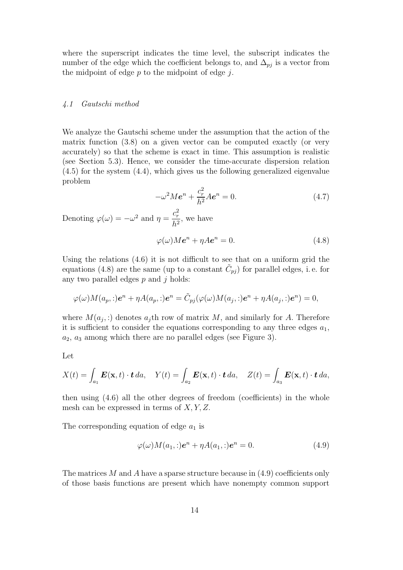where the superscript indicates the time level, the subscript indicates the number of the edge which the coefficient belongs to, and  $\Delta_{pj}$  is a vector from the midpoint of edge  $p$  to the midpoint of edge  $j$ .

#### 4.1 Gautschi method

We analyze the Gautschi scheme under the assumption that the action of the matrix function (3.8) on a given vector can be computed exactly (or very accurately) so that the scheme is exact in time. This assumption is realistic (see Section 5.3). Hence, we consider the time-accurate dispersion relation (4.5) for the system (4.4), which gives us the following generalized eigenvalue problem

$$
-\omega^2 M \boldsymbol{e}^n + \frac{c_r^2}{h^2} A \boldsymbol{e}^n = 0.
$$
 (4.7)

Denoting  $\varphi(\omega) = -\omega^2$  and  $\eta = \frac{c_r^2}{h^2}$ , we have

$$
\varphi(\omega)M\boldsymbol{e}^n + \eta A\boldsymbol{e}^n = 0.
$$
\n(4.8)

Using the relations (4.6) it is not difficult to see that on a uniform grid the equations (4.8) are the same (up to a constant  $\tilde{C}_{pj}$ ) for parallel edges, i.e. for any two parallel edges  $p$  and  $j$  holds:

$$
\varphi(\omega)M(a_p,.)e^n + \eta A(a_p,.)e^n = \tilde{C}_{pj}(\varphi(\omega)M(a_j,.)e^n + \eta A(a_j,.)e^n) = 0,
$$

where  $M(a_i,.)$  denotes  $a_i$ th row of matrix M, and similarly for A. Therefore it is sufficient to consider the equations corresponding to any three edges  $a_1$ ,  $a_2, a_3$  among which there are no parallel edges (see Figure 3).

Let

$$
X(t) = \int_{a_1} \boldsymbol{E}(\mathbf{x}, t) \cdot \boldsymbol{t} \, da, \quad Y(t) = \int_{a_2} \boldsymbol{E}(\mathbf{x}, t) \cdot \boldsymbol{t} \, da, \quad Z(t) = \int_{a_3} \boldsymbol{E}(\mathbf{x}, t) \cdot \boldsymbol{t} \, da,
$$

then using (4.6) all the other degrees of freedom (coefficients) in the whole mesh can be expressed in terms of  $X, Y, Z$ .

The corresponding equation of edge  $a_1$  is

$$
\varphi(\omega)M(a_1,.)e^n + \eta A(a_1,.)e^n = 0.
$$
\n(4.9)

The matrices M and A have a sparse structure because in  $(4.9)$  coefficients only of those basis functions are present which have nonempty common support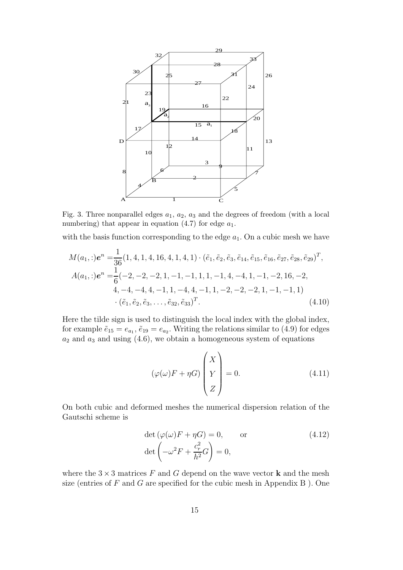

Fig. 3. Three nonparallel edges  $a_1, a_2, a_3$  and the degrees of freedom (with a local numbering) that appear in equation  $(4.7)$  for edge  $a_1$ .

with the basis function corresponding to the edge  $a_1$ . On a cubic mesh we have

$$
M(a_1,.)e^n = \frac{1}{36}(1,4,1,4,16,4,1,4,1) \cdot (\tilde{e}_1, \tilde{e}_2, \tilde{e}_3, \tilde{e}_{14}, \tilde{e}_{15}, \tilde{e}_{16}, \tilde{e}_{27}, \tilde{e}_{28}, \tilde{e}_{29})^T,
$$
  
\n
$$
A(a_1,.)e^n = \frac{1}{6}(-2,-2,-2,1,-1,-1,1,1,-1,4,-4,1,-1,-2,16,-2,
$$
  
\n
$$
4,-4,-4,4,-1,1,-4,4,-1,1,-2,-2,-2,1,-1,-1,1)
$$
  
\n
$$
\cdot (\tilde{e}_1, \tilde{e}_2, \tilde{e}_3, \dots, \tilde{e}_{32}, \tilde{e}_{33})^T.
$$
\n(4.10)

Here the tilde sign is used to distinguish the local index with the global index, for example  $\tilde{e}_{15} = e_{a_1}, \tilde{e}_{19} = e_{a_2}$ . Writing the relations similar to (4.9) for edges  $a_2$  and  $a_3$  and using (4.6), we obtain a homogeneous system of equations

$$
(\varphi(\omega)F + \eta G) \begin{pmatrix} X \\ Y \\ Z \end{pmatrix} = 0.
$$
 (4.11)

On both cubic and deformed meshes the numerical dispersion relation of the Gautschi scheme is

$$
\det (\varphi(\omega)F + \eta G) = 0, \qquad \text{or}
$$
\n
$$
\det \left( -\omega^2 F + \frac{c_r^2}{h^2} G \right) = 0,
$$
\n(4.12)

where the  $3 \times 3$  matrices F and G depend on the wave vector **k** and the mesh size (entries of  $F$  and  $G$  are specified for the cubic mesh in Appendix  $B$ ). One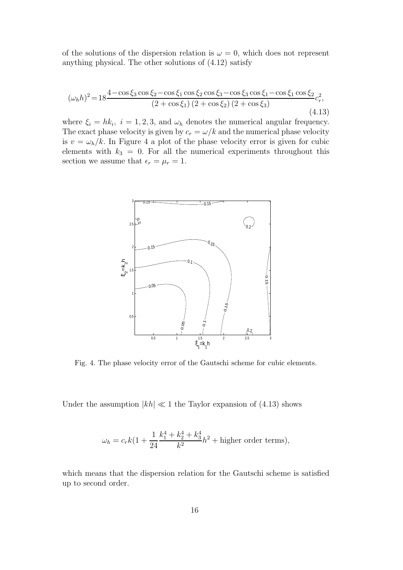of the solutions of the dispersion relation is  $\omega = 0$ , which does not represent anything physical. The other solutions of (4.12) satisfy

$$
(\omega_h h)^2 = 18 \frac{4 - \cos \xi_3 \cos \xi_2 - \cos \xi_1 \cos \xi_2 \cos \xi_3 - \cos \xi_3 \cos \xi_1 - \cos \xi_1 \cos \xi_2}{(2 + \cos \xi_1)(2 + \cos \xi_2)(2 + \cos \xi_3)}
$$
(4.13)

where  $\xi_i = hk_i$ ,  $i = 1, 2, 3$ , and  $\omega_h$  denotes the numerical angular frequency. The exact phase velocity is given by  $c_r = \omega/k$  and the numerical phase velocity is  $v = \omega_h/k$ . In Figure 4 a plot of the phase velocity error is given for cubic elements with  $k_3 = 0$ . For all the numerical experiments throughout this section we assume that  $\epsilon_r = \mu_r = 1$ .



Fig. 4. The phase velocity error of the Gautschi scheme for cubic elements.

Under the assumption  $|kh| \ll 1$  the Taylor expansion of (4.13) shows

$$
\omega_h = c_r k \left( 1 + \frac{1}{24} \frac{k_1^4 + k_2^4 + k_3^4}{k^2} h^2 + \text{higher order terms} \right),\,
$$

which means that the dispersion relation for the Gautschi scheme is satisfied up to second order.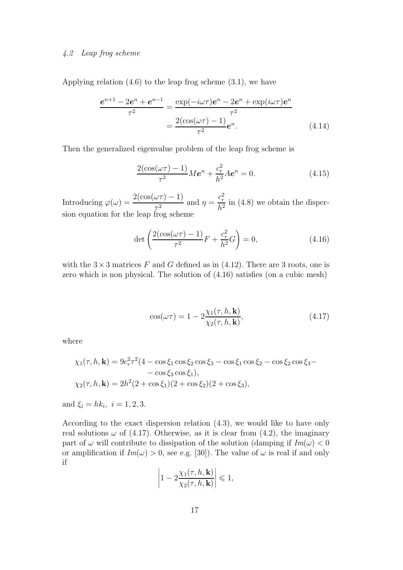# 4.2 Leap frog scheme

Applying relation (4.6) to the leap frog scheme (3.1), we have

$$
\frac{e^{n+1} - 2e^n + e^{n-1}}{\tau^2} = \frac{\exp(-i\omega\tau)e^n - 2e^n + \exp(i\omega\tau)e^n}{\tau^2}
$$

$$
= \frac{2(\cos(\omega\tau) - 1)}{\tau^2}e^n.
$$
(4.14)

Then the generalized eigenvalue problem of the leap frog scheme is

$$
\frac{2(\cos(\omega \tau) - 1)}{\tau^2} M \mathbf{e}^n + \frac{c_r^2}{h^2} A \mathbf{e}^n = 0.
$$
 (4.15)

Introducing  $\varphi(\omega) = \frac{2(\cos(\omega \tau) - 1)}{\tau^2}$  and  $\eta = \frac{c_r^2}{h^2}$  in (4.8) we obtain the dispersion equation for the leap frog scheme

$$
\det\left(\frac{2(\cos(\omega\tau) - 1)}{\tau^2}F + \frac{c_r^2}{h^2}G\right) = 0,
$$
\n(4.16)

with the  $3 \times 3$  matrices F and G defined as in (4.12). There are 3 roots, one is zero which is non physical. The solution of (4.16) satisfies (on a cubic mesh)

$$
\cos(\omega \tau) = 1 - 2 \frac{\chi_1(\tau, h, \mathbf{k})}{\chi_2(\tau, h, \mathbf{k})},\tag{4.17}
$$

where

$$
\chi_1(\tau, h, \mathbf{k}) = 9c_r^2 \tau^2 (4 - \cos \xi_1 \cos \xi_2 \cos \xi_3 - \cos \xi_1 \cos \xi_2 - \cos \xi_2 \cos \xi_3 - \cos \xi_3 \cos \xi_1),
$$
  

$$
\chi_2(\tau, h, \mathbf{k}) = 2h^2 (2 + \cos \xi_1)(2 + \cos \xi_2)(2 + \cos \xi_3),
$$

and  $\xi_i = hk_i, i = 1, 2, 3.$ 

According to the exact dispersion relation (4.3), we would like to have only real solutions  $\omega$  of (4.17). Otherwise, as it is clear from (4.2), the imaginary part of  $\omega$  will contribute to dissipation of the solution (damping if  $Im(\omega) < 0$ or amplification if  $Im(\omega) > 0$ , see e.g. [30]). The value of  $\omega$  is real if and only if

$$
\left|1-2\frac{\chi_1(\tau,h,\mathbf{k})}{\chi_2(\tau,h,\mathbf{k})}\right| \leq 1,
$$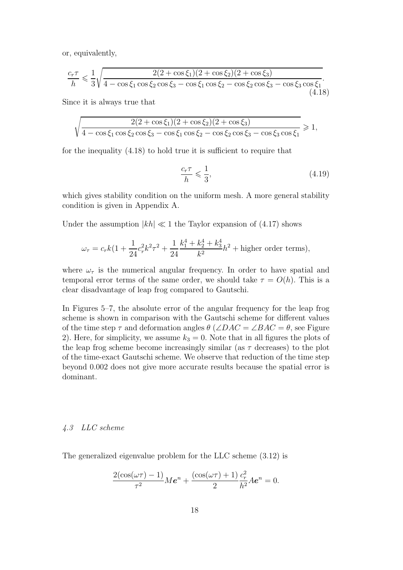or, equivalently,

$$
\frac{c_r \tau}{h} \leq \frac{1}{3} \sqrt{\frac{2(2 + \cos \xi_1)(2 + \cos \xi_2)(2 + \cos \xi_3)}{4 - \cos \xi_1 \cos \xi_2 \cos \xi_3 - \cos \xi_1 \cos \xi_2 - \cos \xi_2 \cos \xi_3 - \cos \xi_3 \cos \xi_1}}(4.18)
$$

Since it is always true that

$$
\sqrt{\frac{2(2+\cos\xi_1)(2+\cos\xi_2)(2+\cos\xi_3)}{4-\cos\xi_1\cos\xi_2\cos\xi_3-\cos\xi_1\cos\xi_2-\cos\xi_2\cos\xi_3-\cos\xi_3\cos\xi_1}} \ge 1,
$$

for the inequality (4.18) to hold true it is sufficient to require that

$$
\frac{c_r \tau}{h} \leqslant \frac{1}{3},\tag{4.19}
$$

which gives stability condition on the uniform mesh. A more general stability condition is given in Appendix A.

Under the assumption  $|kh| \ll 1$  the Taylor expansion of (4.17) shows

$$
\omega_{\tau} = c_r k \left( 1 + \frac{1}{24} c_r^2 k^2 \tau^2 + \frac{1}{24} \frac{k_1^4 + k_2^4 + k_3^4}{k^2} h^2 + \text{higher order terms} \right),\,
$$

where  $\omega_{\tau}$  is the numerical angular frequency. In order to have spatial and temporal error terms of the same order, we should take  $\tau = O(h)$ . This is a clear disadvantage of leap frog compared to Gautschi.

In Figures 5–7, the absolute error of the angular frequency for the leap frog scheme is shown in comparison with the Gautschi scheme for different values of the time step  $\tau$  and deformation angles  $\theta$  ( $\angle DAC = \angle BAC = \theta$ , see Figure 2). Here, for simplicity, we assume  $k_3 = 0$ . Note that in all figures the plots of the leap frog scheme become increasingly similar (as  $\tau$  decreases) to the plot of the time-exact Gautschi scheme. We observe that reduction of the time step beyond 0.002 does not give more accurate results because the spatial error is dominant.

# 4.3 LLC scheme

The generalized eigenvalue problem for the LLC scheme (3.12) is

$$
\frac{2(\cos(\omega\tau)-1)}{\tau^2}M\boldsymbol{e}^n+\frac{(\cos(\omega\tau)+1)}{2}\frac{c_r^2}{h^2}A\boldsymbol{e}^n=0.
$$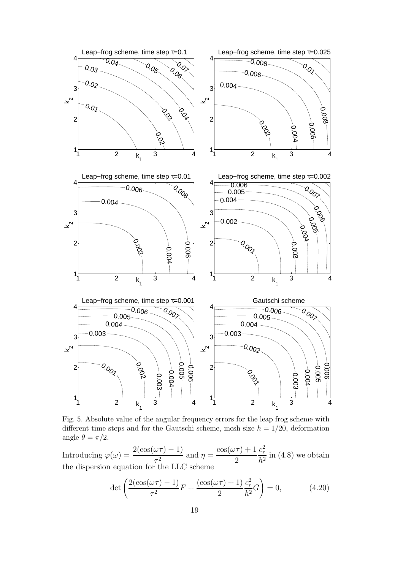

Fig. 5. Absolute value of the angular frequency errors for the leap frog scheme with different time steps and for the Gautschi scheme, mesh size  $h = 1/20$ , deformation angle  $\theta = \pi/2$ .

Introducing  $\varphi(\omega) = \frac{2(\cos(\omega \tau) - 1)}{\tau^2}$  and  $\eta = \frac{\cos(\omega \tau) + 1}{2}$  $\frac{c_r^2}{h^2}$  in (4.8) we obtain the dispersion equation for the LLC scheme

$$
\det\left(\frac{2(\cos(\omega\tau)-1)}{\tau^2}F + \frac{(\cos(\omega\tau)+1)}{2}\frac{c_r^2}{h^2}G\right) = 0,\tag{4.20}
$$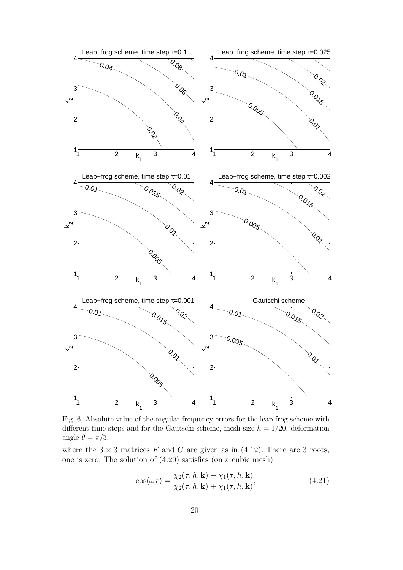

Fig. 6. Absolute value of the angular frequency errors for the leap frog scheme with different time steps and for the Gautschi scheme, mesh size  $h = 1/20$ , deformation angle  $\theta = \pi/3$ .

where the  $3 \times 3$  matrices F and G are given as in (4.12). There are 3 roots, one is zero. The solution of (4.20) satisfies (on a cubic mesh)

$$
\cos(\omega \tau) = \frac{\chi_2(\tau, h, \mathbf{k}) - \chi_1(\tau, h, \mathbf{k})}{\chi_2(\tau, h, \mathbf{k}) + \chi_1(\tau, h, \mathbf{k})},\tag{4.21}
$$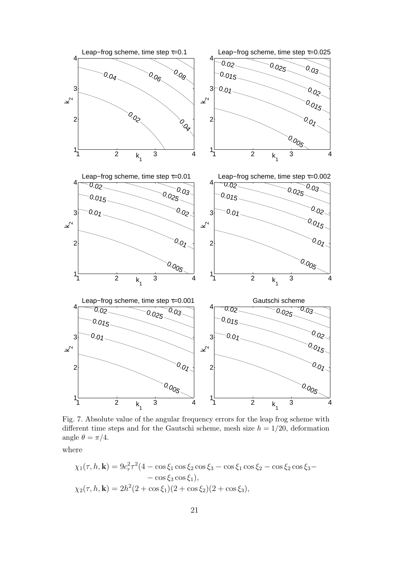

Fig. 7. Absolute value of the angular frequency errors for the leap frog scheme with different time steps and for the Gautschi scheme, mesh size  $h = 1/20$ , deformation angle  $\theta = \pi/4$ .

where

$$
\chi_1(\tau, h, \mathbf{k}) = 9c_r^2 \tau^2 (4 - \cos \xi_1 \cos \xi_2 \cos \xi_3 - \cos \xi_1 \cos \xi_2 - \cos \xi_2 \cos \xi_3 - \cos \xi_3 \cos \xi_1),
$$
  
\n
$$
\chi_2(\tau, h, \mathbf{k}) = 2h^2 (2 + \cos \xi_1)(2 + \cos \xi_2)(2 + \cos \xi_3),
$$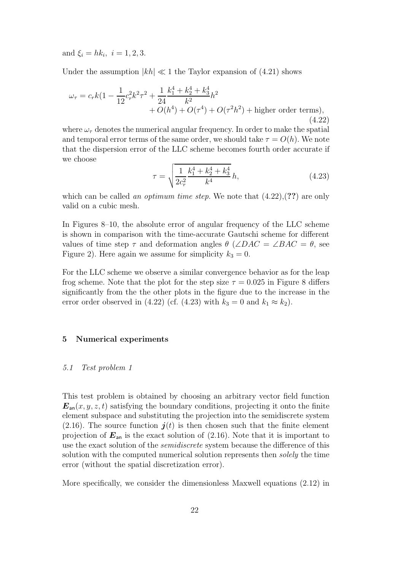and  $\xi_i = hk_i, i = 1, 2, 3.$ 

Under the assumption  $|kh| \ll 1$  the Taylor expansion of (4.21) shows

$$
\omega_{\tau} = c_r k (1 - \frac{1}{12} c_r^2 k^2 \tau^2 + \frac{1}{24} \frac{k_1^4 + k_2^4 + k_3^4}{k^2} h^2 + O(h^4) + O(\tau^4) + O(\tau^2 h^2) + \text{higher order terms}),
$$
\n(4.22)

where  $\omega_{\tau}$  denotes the numerical angular frequency. In order to make the spatial and temporal error terms of the same order, we should take  $\tau = O(h)$ . We note that the dispersion error of the LLC scheme becomes fourth order accurate if we choose

$$
\tau = \sqrt{\frac{1}{2c_r^2} \frac{k_1^4 + k_2^4 + k_3^4}{k^4}} h,
$$
\n(4.23)

which can be called an *optimum time step.* We note that  $(4.22)$ ,  $(?)$  are only valid on a cubic mesh.

In Figures 8–10, the absolute error of angular frequency of the LLC scheme is shown in comparison with the time-accurate Gautschi scheme for different values of time step  $\tau$  and deformation angles  $\theta$  (∠DAC = ∠BAC =  $\theta$ , see Figure 2). Here again we assume for simplicity  $k_3 = 0$ .

For the LLC scheme we observe a similar convergence behavior as for the leap frog scheme. Note that the plot for the step size  $\tau = 0.025$  in Figure 8 differs significantly from the the other plots in the figure due to the increase in the error order observed in (4.22) (cf. (4.23) with  $k_3 = 0$  and  $k_1 \approx k_2$ ).

## **5 Numerical experiments**

#### 5.1 Test problem 1

This test problem is obtained by choosing an arbitrary vector field function  $E_{\text{an}}(x, y, z, t)$  satisfying the boundary conditions, projecting it onto the finite element subspace and substituting the projection into the semidiscrete system (2.16). The source function  $j(t)$  is then chosen such that the finite element projection of  $E_{\text{an}}$  is the exact solution of  $(2.16)$ . Note that it is important to use the exact solution of the semidiscrete system because the difference of this solution with the computed numerical solution represents then *solely* the time error (without the spatial discretization error).

More specifically, we consider the dimensionless Maxwell equations (2.12) in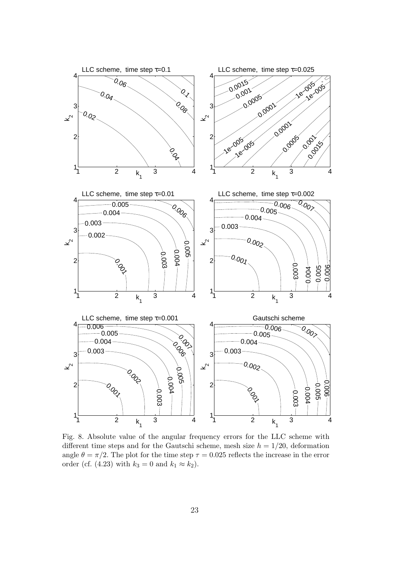

Fig. 8. Absolute value of the angular frequency errors for the LLC scheme with different time steps and for the Gautschi scheme, mesh size  $h = 1/20$ , deformation angle  $\theta = \pi/2$ . The plot for the time step  $\tau = 0.025$  reflects the increase in the error order (cf. (4.23) with  $k_3 = 0$  and  $k_1 \approx k_2$ ).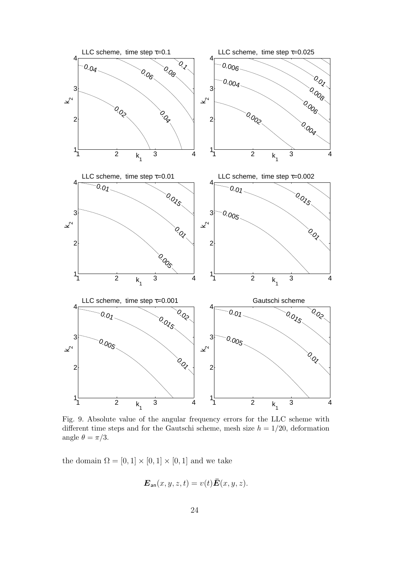

Fig. 9. Absolute value of the angular frequency errors for the LLC scheme with different time steps and for the Gautschi scheme, mesh size  $h = 1/20$ , deformation angle  $\theta = \pi/3$ .

the domain  $\Omega = [0, 1] \times [0, 1] \times [0, 1]$  and we take

$$
\boldsymbol{E}_{\mathsf{an}}(x, y, z, t) = v(t)\bar{\boldsymbol{E}}(x, y, z).
$$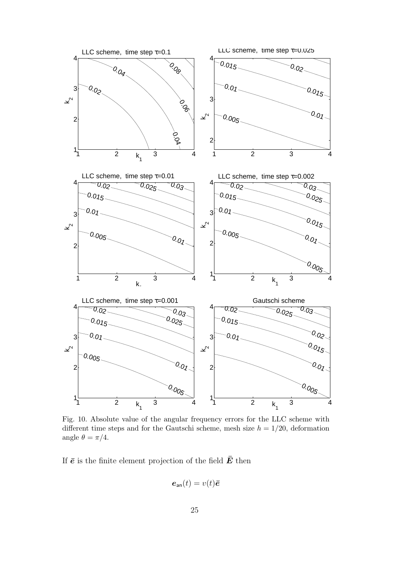

Fig. 10. Absolute value of the angular frequency errors for the LLC scheme with different time steps and for the Gautschi scheme, mesh size  $h = 1/20$ , deformation angle  $\theta = \pi/4$ .

If  $\bar{e}$  is the finite element projection of the field  $\bar{E}$  then

$$
\boldsymbol{e}_{\rm an}(t)=v(t)\boldsymbol{\bar{e}}
$$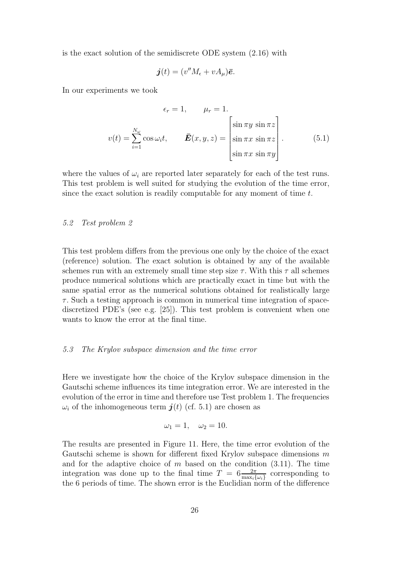is the exact solution of the semidiscrete ODE system (2.16) with

$$
\boldsymbol{j}(t)=(v''M_{\epsilon}+vA_{\mu})\boldsymbol{\bar{e}}.
$$

In our experiments we took

$$
\epsilon_r = 1, \qquad \mu_r = 1.
$$
  

$$
v(t) = \sum_{i=1}^{N_{\omega}} \cos \omega_i t, \qquad \bar{E}(x, y, z) = \begin{bmatrix} \sin \pi y & \sin \pi z \\ \sin \pi x & \sin \pi z \\ \sin \pi x & \sin \pi y \end{bmatrix}.
$$
 (5.1)

where the values of  $\omega_i$  are reported later separately for each of the test runs. This test problem is well suited for studying the evolution of the time error, since the exact solution is readily computable for any moment of time t.

## 5.2 Test problem 2

This test problem differs from the previous one only by the choice of the exact (reference) solution. The exact solution is obtained by any of the available schemes run with an extremely small time step size  $\tau$ . With this  $\tau$  all schemes produce numerical solutions which are practically exact in time but with the same spatial error as the numerical solutions obtained for realistically large  $\tau$ . Such a testing approach is common in numerical time integration of spacediscretized PDE's (see e.g. [25]). This test problem is convenient when one wants to know the error at the final time.

## 5.3 The Krylov subspace dimension and the time error

Here we investigate how the choice of the Krylov subspace dimension in the Gautschi scheme influences its time integration error. We are interested in the evolution of the error in time and therefore use Test problem 1. The frequencies  $\omega_i$  of the inhomogeneous term  $\bm{j}(t)$  (cf. 5.1) are chosen as

$$
\omega_1 = 1, \quad \omega_2 = 10.
$$

The results are presented in Figure 11. Here, the time error evolution of the Gautschi scheme is shown for different fixed Krylov subspace dimensions  $m$ and for the adaptive choice of  $m$  based on the condition  $(3.11)$ . The time integration was done up to the final time  $T = 6 \frac{2\pi}{\max_i {\{\omega_i\}}}$  corresponding to the 6 periods of time. The shown error is the Euclidian norm of the difference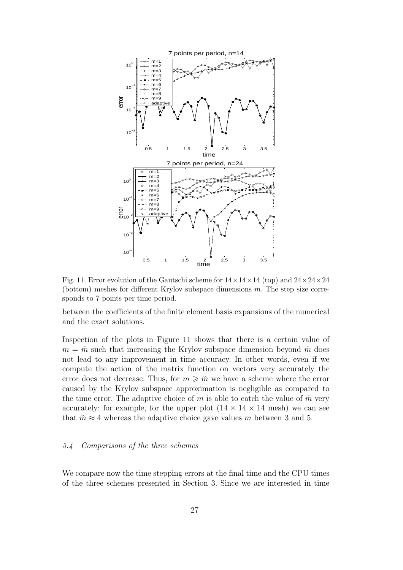

Fig. 11. Error evolution of the Gautschi scheme for  $14 \times 14 \times 14$  (top) and  $24 \times 24 \times 24$ (bottom) meshes for different Krylov subspace dimensions m. The step size corresponds to 7 points per time period.

between the coefficients of the finite element basis expansions of the numerical and the exact solutions.

Inspection of the plots in Figure 11 shows that there is a certain value of  $m = \tilde{m}$  such that increasing the Krylov subspace dimension beyond  $\tilde{m}$  does not lead to any improvement in time accuracy. In other words, even if we compute the action of the matrix function on vectors very accurately the error does not decrease. Thus, for  $m \geqslant m \leqslant m$  we have a scheme where the error caused by the Krylov subspace approximation is negligible as compared to the time error. The adaptive choice of m is able to catch the value of  $\tilde{m}$  very accurately: for example, for the upper plot  $(14 \times 14 \times 14 \text{ mesh})$  we can see that  $\tilde{m} \approx 4$  whereas the adaptive choice gave values m between 3 and 5.

## 5.4 Comparisons of the three schemes

We compare now the time stepping errors at the final time and the CPU times of the three schemes presented in Section 3. Since we are interested in time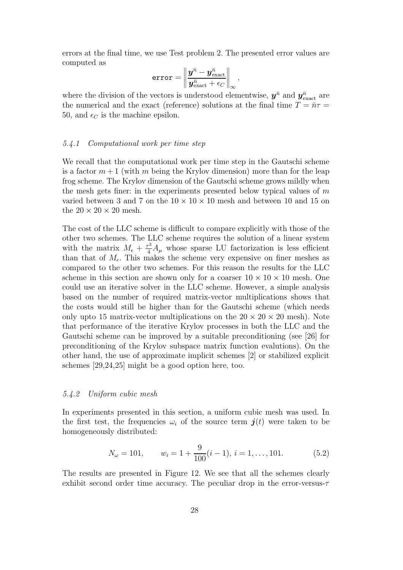errors at the final time, we use Test problem 2. The presented error values are computed as

$$
\texttt{error} = \left\|\frac{\boldsymbol{y}^{\bar{n}} - \boldsymbol{y}^{\bar{n}}_\text{exact}}{\boldsymbol{y}^{\bar{n}}_\text{exact} + \epsilon_C}\right\|_\infty,
$$

where the division of the vectors is understood elementwise,  $y^{\bar{n}}$  and  $y^{\bar{n}}_{\text{exact}}$  are the numerical and the exact (reference) solutions at the final time  $T = \bar{n}\tau$ 50, and  $\epsilon_C$  is the machine epsilon.

#### 5.4.1 Computational work per time step

We recall that the computational work per time step in the Gautschi scheme is a factor  $m+1$  (with m being the Krylov dimension) more than for the leap frog scheme. The Krylov dimension of the Gautschi scheme grows mildly when the mesh gets finer: in the experiments presented below typical values of  $m$ varied between 3 and 7 on the  $10 \times 10 \times 10$  mesh and between 10 and 15 on the  $20 \times 20 \times 20$  mesh.

The cost of the LLC scheme is difficult to compare explicitly with those of the other two schemes. The LLC scheme requires the solution of a linear system with the matrix  $M_{\epsilon} + \frac{\tau^2}{4} A_{\mu}$  whose sparse LU factorization is less efficient than that of  $M_e$ . This makes the scheme very expensive on finer meshes as compared to the other two schemes. For this reason the results for the LLC scheme in this section are shown only for a coarser  $10 \times 10 \times 10$  mesh. One could use an iterative solver in the LLC scheme. However, a simple analysis based on the number of required matrix-vector multiplications shows that the costs would still be higher than for the Gautschi scheme (which needs only upto 15 matrix-vector multiplications on the  $20 \times 20 \times 20$  mesh). Note that performance of the iterative Krylov processes in both the LLC and the Gautschi scheme can be improved by a suitable preconditioning (see [26] for preconditioning of the Krylov subspace matrix function evalutions). On the other hand, the use of approximate implicit schemes [2] or stabilized explicit schemes [29,24,25] might be a good option here, too.

#### 5.4.2 Uniform cubic mesh

In experiments presented in this section, a uniform cubic mesh was used. In the first test, the frequencies  $\omega_i$  of the source term  $\bm{j}(t)$  were taken to be homogeneously distributed:

$$
N_{\omega} = 101, \qquad w_i = 1 + \frac{9}{100}(i - 1), \, i = 1, \dots, 101. \tag{5.2}
$$

The results are presented in Figure 12. We see that all the schemes clearly exhibit second order time accuracy. The peculiar drop in the error-versus- $\tau$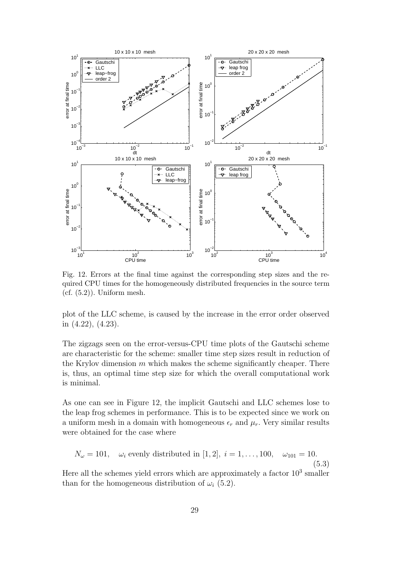

Fig. 12. Errors at the final time against the corresponding step sizes and the required CPU times for the homogeneously distributed frequencies in the source term  $(cf. (5.2))$ . Uniform mesh.

plot of the LLC scheme, is caused by the increase in the error order observed in (4.22), (4.23).

The zigzags seen on the error-versus-CPU time plots of the Gautschi scheme are characteristic for the scheme: smaller time step sizes result in reduction of the Krylov dimension  $m$  which makes the scheme significantly cheaper. There is, thus, an optimal time step size for which the overall computational work is minimal.

As one can see in Figure 12, the implicit Gautschi and LLC schemes lose to the leap frog schemes in performance. This is to be expected since we work on a uniform mesh in a domain with homogeneous  $\epsilon_r$  and  $\mu_r$ . Very similar results were obtained for the case where

$$
N_{\omega} = 101
$$
,  $\omega_i$  evenly distributed in [1, 2],  $i = 1, ..., 100$ ,  $\omega_{101} = 10$ . (5.3)

Here all the schemes yield errors which are approximately a factor  $10<sup>3</sup>$  smaller than for the homogeneous distribution of  $\omega_i$  (5.2).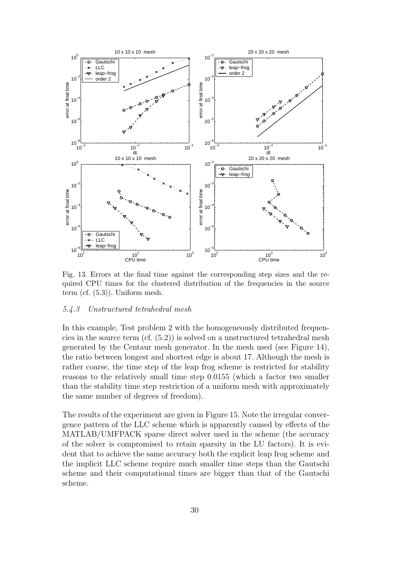

Fig. 13. Errors at the final time against the corresponding step sizes and the required CPU times for the clustered distribution of the frequencies in the source term (cf. (5.3)). Uniform mesh.

## 5.4.3 Unstructured tetrahedral mesh

In this example, Test problem 2 with the homogeneously distributed frequencies in the source term  $(cf. (5.2))$  is solved on a unstructured tetrahedral mesh generated by the Centaur mesh generator. In the mesh used (see Figure 14), the ratio between longest and shortest edge is about 17. Although the mesh is rather coarse, the time step of the leap frog scheme is restricted for stability reasons to the relatively small time step 0.0155 (which a factor two smaller than the stability time step restriction of a uniform mesh with approximately the same number of degrees of freedom).

The results of the experiment are given in Figure 15. Note the irregular convergence pattern of the LLC scheme which is apparently caused by effects of the MATLAB/UMFPACK sparse direct solver used in the scheme (the accuracy of the solver is compromised to retain sparsity in the LU factors). It is evident that to achieve the same accuracy both the explicit leap frog scheme and the implicit LLC scheme require much smaller time steps than the Gautschi scheme and their computational times are bigger than that of the Gautschi scheme.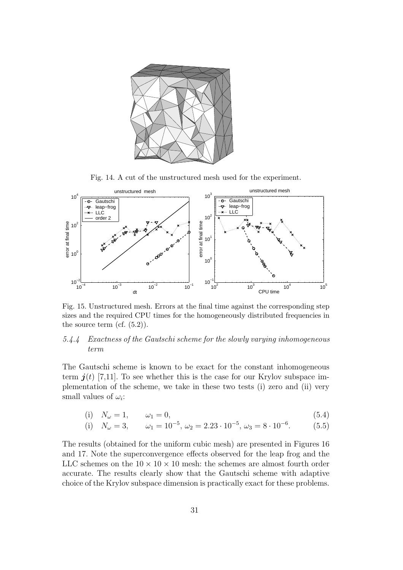

Fig. 14. A cut of the unstructured mesh used for the experiment.



Fig. 15. Unstructured mesh. Errors at the final time against the corresponding step sizes and the required CPU times for the homogeneously distributed frequencies in the source term (cf.  $(5.2)$ ).

# 5.4.4 Exactness of the Gautschi scheme for the slowly varying inhomogeneous term

The Gautschi scheme is known to be exact for the constant inhomogeneous term  $j(t)$  [7,11]. To see whether this is the case for our Krylov subspace implementation of the scheme, we take in these two tests (i) zero and (ii) very small values of  $\omega_i$ :

$$
(i) \quad N_{\omega} = 1, \qquad \omega_1 = 0,\tag{5.4}
$$

(i) 
$$
N_{\omega} = 3
$$
,  $\omega_1 = 10^{-5}$ ,  $\omega_2 = 2.23 \cdot 10^{-5}$ ,  $\omega_3 = 8 \cdot 10^{-6}$ . (5.5)

The results (obtained for the uniform cubic mesh) are presented in Figures 16 and 17. Note the superconvergence effects observed for the leap frog and the LLC schemes on the  $10 \times 10 \times 10$  mesh: the schemes are almost fourth order accurate. The results clearly show that the Gautschi scheme with adaptive choice of the Krylov subspace dimension is practically exact for these problems.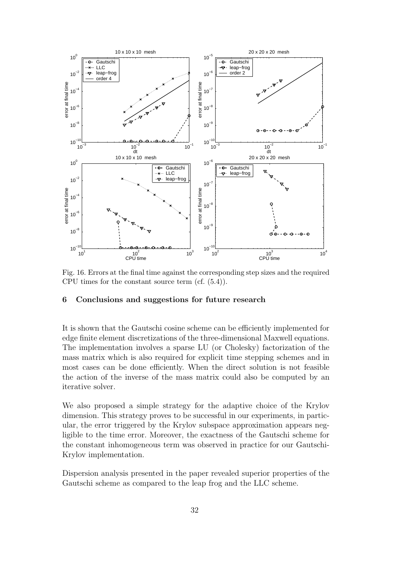

Fig. 16. Errors at the final time against the corresponding step sizes and the required CPU times for the constant source term (cf. (5.4)).

# **6 Conclusions and suggestions for future research**

It is shown that the Gautschi cosine scheme can be efficiently implemented for edge finite element discretizations of the three-dimensional Maxwell equations. The implementation involves a sparse LU (or Cholesky) factorization of the mass matrix which is also required for explicit time stepping schemes and in most cases can be done efficiently. When the direct solution is not feasible the action of the inverse of the mass matrix could also be computed by an iterative solver.

We also proposed a simple strategy for the adaptive choice of the Krylov dimension. This strategy proves to be successful in our experiments, in particular, the error triggered by the Krylov subspace approximation appears negligible to the time error. Moreover, the exactness of the Gautschi scheme for the constant inhomogeneous term was observed in practice for our Gautschi-Krylov implementation.

Dispersion analysis presented in the paper revealed superior properties of the Gautschi scheme as compared to the leap frog and the LLC scheme.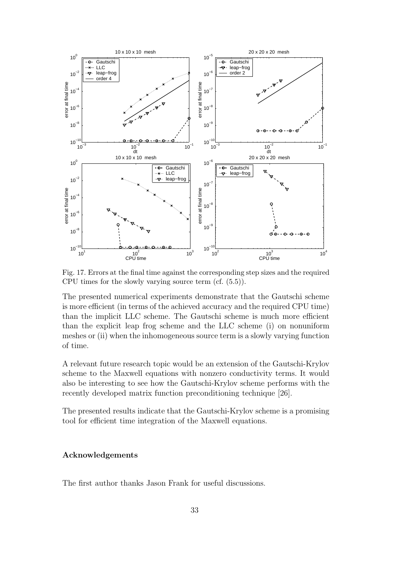

Fig. 17. Errors at the final time against the corresponding step sizes and the required CPU times for the slowly varying source term (cf. (5.5)).

The presented numerical experiments demonstrate that the Gautschi scheme is more efficient (in terms of the achieved accuracy and the required CPU time) than the implicit LLC scheme. The Gautschi scheme is much more efficient than the explicit leap frog scheme and the LLC scheme (i) on nonuniform meshes or (ii) when the inhomogeneous source term is a slowly varying function of time.

A relevant future research topic would be an extension of the Gautschi-Krylov scheme to the Maxwell equations with nonzero conductivity terms. It would also be interesting to see how the Gautschi-Krylov scheme performs with the recently developed matrix function preconditioning technique [26].

The presented results indicate that the Gautschi-Krylov scheme is a promising tool for efficient time integration of the Maxwell equations.

# **Acknowledgements**

The first author thanks Jason Frank for useful discussions.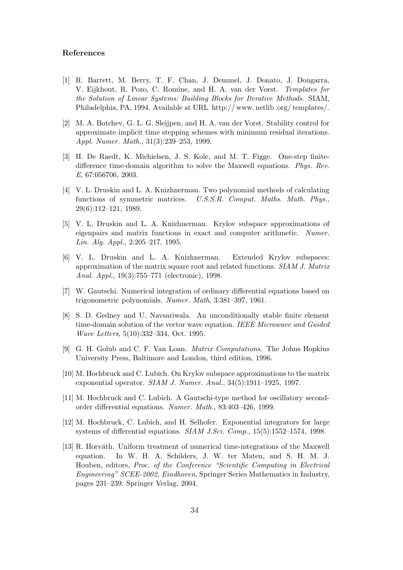## **References**

- [1] R. Barrett, M. Berry, T. F. Chan, J. Demmel, J. Donato, J. Dongarra, V. Eijkhout, R. Pozo, C. Romine, and H. A. van der Vorst. *Templates for the Solution of Linear Systems: Building Blocks for Iterative Methods*. SIAM, Philadelphia, PA, 1994. Available at URL http:// www. netlib .org/ templates/.
- [2] M. A. Botchev, G. L. G. Sleijpen, and H. A. van der Vorst. Stability control for approximate implicit time stepping schemes with minimum residual iterations. *Appl. Numer. Math.*, 31(3):239–253, 1999.
- [3] H. De Raedt, K. Michielsen, J. S. Kole, and M. T. Figge. One-step finitedifference time-domain algorithm to solve the Maxwell equations. *Phys. Rev. E*, 67:056706, 2003.
- [4] V. L. Druskin and L. A. Knizhnerman. Two polynomial methods of calculating functions of symmetric matrices. *U.S.S.R. Comput. Maths. Math. Phys.*, 29(6):112–121, 1989.
- [5] V. L. Druskin and L. A. Knizhnerman. Krylov subspace approximations of eigenpairs and matrix functions in exact and computer arithmetic. *Numer. Lin. Alg. Appl.*, 2:205–217, 1995.
- [6] V. L. Druskin and L. A. Knizhnerman. Extended Krylov subspaces: approximation of the matrix square root and related functions. *SIAM J. Matrix Anal. Appl.*, 19(3):755–771 (electronic), 1998.
- [7] W. Gautschi. Numerical integration of ordinary differential equations based on trigonometric polynomials. *Numer. Math*, 3:381–397, 1961.
- [8] S. D. Gedney and U. Navsariwala. An unconditionally stable finite element time-domain solution of the vector wave equation. *IEEE Microwave and Guided Wave Letters*, 5(10):332–334, Oct. 1995.
- [9] G. H. Golub and C. F. Van Loan. *Matrix Computations*. The Johns Hopkins University Press, Baltimore and London, third edition, 1996.
- [10] M. Hochbruck and C. Lubich. On Krylov subspace approximations to the matrix exponential operator. *SIAM J. Numer. Anal.*, 34(5):1911–1925, 1997.
- [11] M. Hochbruck and C. Lubich. A Gautschi-type method for oscillatory secondorder differential equations. *Numer. Math.*, 83:403–426, 1999.
- [12] M. Hochbruck, C. Lubich, and H. Selhofer. Exponential integrators for large systems of differential equations. *SIAM J.Sci. Comp.*, 15(5):1552–1574, 1998.
- [13] R. Horváth. Uniform treatment of numerical time-integrations of the Maxwell equation. In W. H. A. Schilders, J. W. ter Maten, and S. H. M. J. Houben, editors, *Proc. of the Conference "Scientific Computing in Electrical Engineering" SCEE-2002, Eindhoven*, Springer Series Mathematics in Industry, pages 231–239. Springer Verlag, 2004.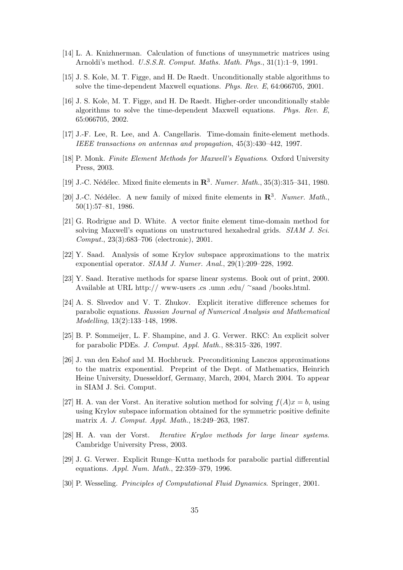- [14] L. A. Knizhnerman. Calculation of functions of unsymmetric matrices using Arnoldi's method. *U.S.S.R. Comput. Maths. Math. Phys.*, 31(1):1–9, 1991.
- [15] J. S. Kole, M. T. Figge, and H. De Raedt. Unconditionally stable algorithms to solve the time-dependent Maxwell equations. *Phys. Rev. E*, 64:066705, 2001.
- [16] J. S. Kole, M. T. Figge, and H. De Raedt. Higher-order unconditionally stable algorithms to solve the time-dependent Maxwell equations. *Phys. Rev. E*, 65:066705, 2002.
- [17] J.-F. Lee, R. Lee, and A. Cangellaris. Time-domain finite-element methods. *IEEE transactions on antennas and propagation*, 45(3):430–442, 1997.
- [18] P. Monk. *Finite Element Methods for Maxwell's Equations*. Oxford University Press, 2003.
- [19] J.-C. Nédélec. Mixed finite elements in  $\mathbb{R}^3$ . *Numer. Math.*, 35(3):315–341, 1980.
- [20] J.-C. Nédélec. A new family of mixed finite elements in  $\mathbb{R}^3$ . *Numer. Math.*, 50(1):57–81, 1986.
- [21] G. Rodrigue and D. White. A vector finite element time-domain method for solving Maxwell's equations on unstructured hexahedral grids. *SIAM J. Sci. Comput.*, 23(3):683–706 (electronic), 2001.
- [22] Y. Saad. Analysis of some Krylov subspace approximations to the matrix exponential operator. *SIAM J. Numer. Anal.*, 29(1):209–228, 1992.
- [23] Y. Saad. Iterative methods for sparse linear systems. Book out of print, 2000. Available at URL http:// www-users .cs .umn .edu/ <sup>∼</sup>saad /books.html.
- [24] A. S. Shvedov and V. T. Zhukov. Explicit iterative difference schemes for parabolic equations. *Russian Journal of Numerical Analysis and Mathematical Modelling*, 13(2):133–148, 1998.
- [25] B. P. Sommeijer, L. F. Shampine, and J. G. Verwer. RKC: An explicit solver for parabolic PDEs. *J. Comput. Appl. Math.*, 88:315–326, 1997.
- [26] J. van den Eshof and M. Hochbruck. Preconditioning Lanczos approximations to the matrix exponential. Preprint of the Dept. of Mathematics, Heinrich Heine University, Duesseldorf, Germany, March, 2004, March 2004. To appear in SIAM J. Sci. Comput.
- [27] H. A. van der Vorst. An iterative solution method for solving  $f(A)x = b$ , using using Krylov subspace information obtained for the symmetric positive definite matrix A. *J. Comput. Appl. Math.*, 18:249–263, 1987.
- [28] H. A. van der Vorst. *Iterative Krylov methods for large linear systems*. Cambridge University Press, 2003.
- [29] J. G. Verwer. Explicit Runge–Kutta methods for parabolic partial differential equations. *Appl. Num. Math.*, 22:359–379, 1996.
- [30] P. Wesseling. *Principles of Computational Fluid Dynamics*. Springer, 2001.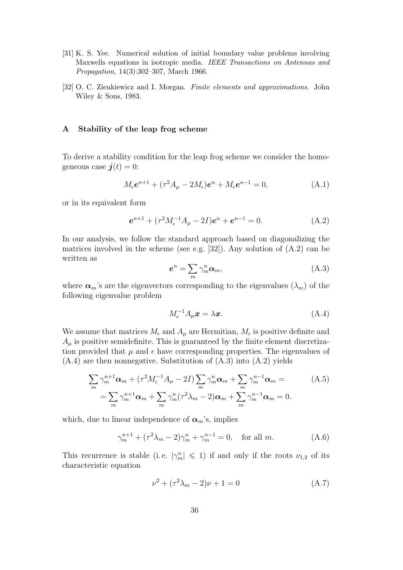- [31] K. S. Yee. Numerical solution of initial boundary value problems involving Maxwells equations in isotropic media. *IEEE Transactions on Antennas and Propagation*, 14(3):302–307, March 1966.
- [32] O. C. Zienkiewicz and I. Morgan. *Finite elements and approximations*. John Wiley & Sons, 1983.

# **A Stability of the leap frog scheme**

To derive a stability condition for the leap frog scheme we consider the homogeneous case  $\boldsymbol{j}(t) = 0$ :

$$
M_{\epsilon}e^{n+1} + (\tau^2 A_{\mu} - 2M_{\epsilon})e^n + M_{\epsilon}e^{n-1} = 0,
$$
 (A.1)

or in its equivalent form

$$
e^{n+1} + (\tau^2 M_{\epsilon}^{-1} A_{\mu} - 2I)e^n + e^{n-1} = 0.
$$
 (A.2)

In our analysis, we follow the standard approach based on diagonalizing the matrices involved in the scheme (see e.g. [32]). Any solution of  $(A.2)$  can be written as

$$
e^n = \sum_m \gamma_m^n \alpha_m, \tag{A.3}
$$

where  $\alpha_m$ 's are the eigenvectors corresponding to the eigenvalues  $(\lambda_m)$  of the following eigenvalue problem

$$
M_{\epsilon}^{-1}A_{\mu}\boldsymbol{x} = \lambda\boldsymbol{x}.\tag{A.4}
$$

We assume that matrices  $M_{\epsilon}$  and  $A_{\mu}$  are Hermitian,  $M_{\epsilon}$  is positive definite and  $A<sub>u</sub>$  is positive semidefinite. This is guaranteed by the finite element discretization provided that  $\mu$  and  $\epsilon$  have corresponding properties. The eigenvalues of  $(A.4)$  are then nonnegative. Substitution of  $(A.3)$  into  $(A.2)$  yields

$$
\sum_{m} \gamma_{m}^{n+1} \alpha_{m} + (\tau^{2} M_{\epsilon}^{-1} A_{\mu} - 2I) \sum_{m} \gamma_{m}^{n} \alpha_{m} + \sum_{m} \gamma_{m}^{n-1} \alpha_{m} =
$$
\n
$$
= \sum_{m} \gamma_{m}^{n+1} \alpha_{m} + \sum_{m} \gamma_{m}^{n} (\tau^{2} \lambda_{m} - 2) \alpha_{m} + \sum_{m} \gamma_{m}^{n-1} \alpha_{m} = 0.
$$
\n(A.5)

which, due to linear independence of  $\alpha_m$ 's, implies

$$
\gamma_m^{n+1} + (\tau^2 \lambda_m - 2)\gamma_m^n + \gamma_m^{n-1} = 0, \text{ for all } m. \tag{A.6}
$$

This recurrence is stable (i.e.  $|\gamma_m^n| \leq 1$ ) if and only if the roots  $\nu_{1,2}$  of its characteristic equation

$$
\nu^2 + (\tau^2 \lambda_m - 2)\nu + 1 = 0 \tag{A.7}
$$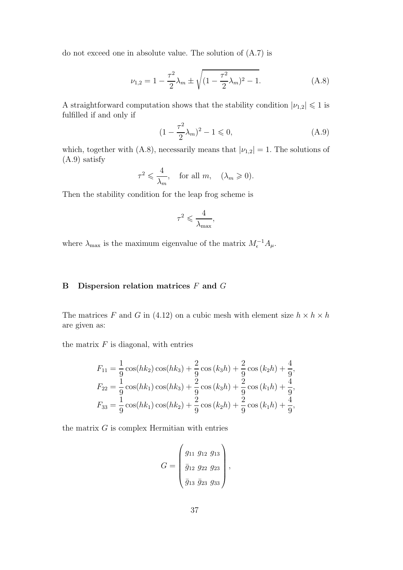do not exceed one in absolute value. The solution of (A.7) is

$$
\nu_{1,2} = 1 - \frac{\tau^2}{2} \lambda_m \pm \sqrt{(1 - \frac{\tau^2}{2} \lambda_m)^2 - 1}.
$$
 (A.8)

A straightforward computation shows that the stability condition  $|\nu_{1,2}| \leq 1$  is fulfilled if and only if

$$
(1 - \frac{\tau^2}{2}\lambda_m)^2 - 1 \leq 0,
$$
\n(A.9)

which, together with (A.8), necessarily means that  $|\nu_{1,2}| = 1$ . The solutions of (A.9) satisfy

$$
\tau^2 \leqslant \frac{4}{\lambda_m}, \quad \text{for all } m, \quad (\lambda_m \geqslant 0).
$$

Then the stability condition for the leap frog scheme is

$$
\tau^2 \leqslant \frac{4}{\lambda_{\max}},
$$

where  $\lambda_{\text{max}}$  is the maximum eigenvalue of the matrix  $M_{\epsilon}^{-1}A_{\mu}$ .

# **B Dispersion relation matrices** F **and** G

The matrices F and G in (4.12) on a cubic mesh with element size  $h \times h \times h$ are given as:

the matrix  $F$  is diagonal, with entries

$$
F_{11} = \frac{1}{9}\cos(hk_2)\cos(hk_3) + \frac{2}{9}\cos(k_3h) + \frac{2}{9}\cos(k_2h) + \frac{4}{9},
$$
  
\n
$$
F_{22} = \frac{1}{9}\cos(hk_1)\cos(hk_3) + \frac{2}{9}\cos(k_3h) + \frac{2}{9}\cos(k_1h) + \frac{4}{9},
$$
  
\n
$$
F_{33} = \frac{1}{9}\cos(hk_1)\cos(hk_2) + \frac{2}{9}\cos(k_2h) + \frac{2}{9}\cos(k_1h) + \frac{4}{9},
$$

the matrix  $G$  is complex Hermitian with entries

$$
G = \begin{pmatrix} g_{11} & g_{12} & g_{13} \\ \bar{g}_{12} & g_{22} & g_{23} \\ \bar{g}_{13} & \bar{g}_{23} & g_{33} \end{pmatrix},
$$